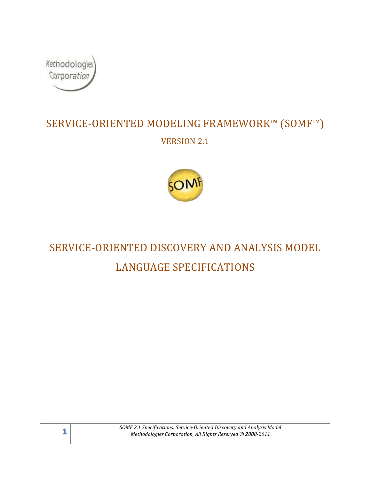

# SERVICE-ORIENTED MODELING FRAMEWORK™ (SOMF™) VERSION 2.1



# SERVICE-ORIENTED DISCOVERY AND ANALYSIS MODEL LANGUAGE SPECIFICATIONS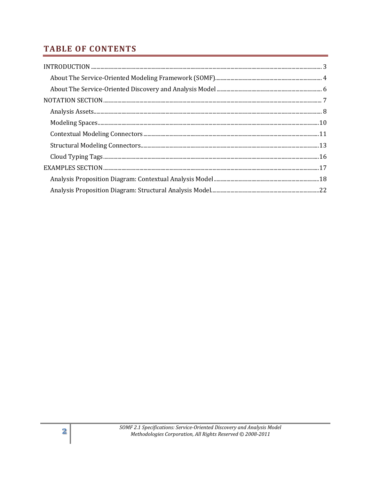# **TABLE OF CONTENTS**

| $\bf INTRODUCTION \,\, \ldots \,\, \ldots \,\, \ldots \,\, \ldots \,\, \ldots \,\, \ldots \,\, \ldots \,\, \ldots \,\, \ldots \,\, \ldots \,\, \ldots \,\, \ldots \,\, \ldots \,\, \ldots \,\, \ldots \,\, \ldots \,\, \ldots \,\, \ldots \,\, \ldots \,\, \ldots \,\, \ldots \,\, \ldots \,\, \ldots \,\, \ldots \,\, \ldots \,\, \ldots \,\, \ldots \,\, \ldots \,\, \ldots \,\, \ldots \,\, \ldots \,\, \ldots \,\, \ldots \,\, \ldots \,\, \ldots \,\, \ldots$ |
|--------------------------------------------------------------------------------------------------------------------------------------------------------------------------------------------------------------------------------------------------------------------------------------------------------------------------------------------------------------------------------------------------------------------------------------------------------------------|
|                                                                                                                                                                                                                                                                                                                                                                                                                                                                    |
|                                                                                                                                                                                                                                                                                                                                                                                                                                                                    |
|                                                                                                                                                                                                                                                                                                                                                                                                                                                                    |
|                                                                                                                                                                                                                                                                                                                                                                                                                                                                    |
|                                                                                                                                                                                                                                                                                                                                                                                                                                                                    |
|                                                                                                                                                                                                                                                                                                                                                                                                                                                                    |
|                                                                                                                                                                                                                                                                                                                                                                                                                                                                    |
|                                                                                                                                                                                                                                                                                                                                                                                                                                                                    |
|                                                                                                                                                                                                                                                                                                                                                                                                                                                                    |
|                                                                                                                                                                                                                                                                                                                                                                                                                                                                    |
|                                                                                                                                                                                                                                                                                                                                                                                                                                                                    |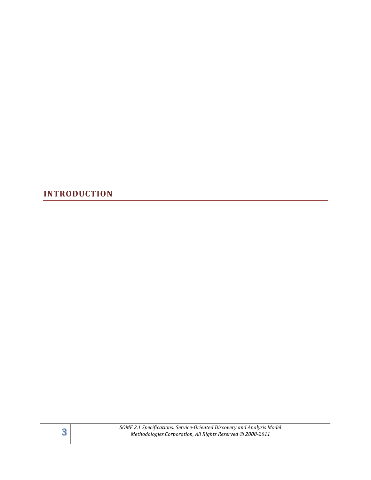<span id="page-2-0"></span>**INTRODUCTION**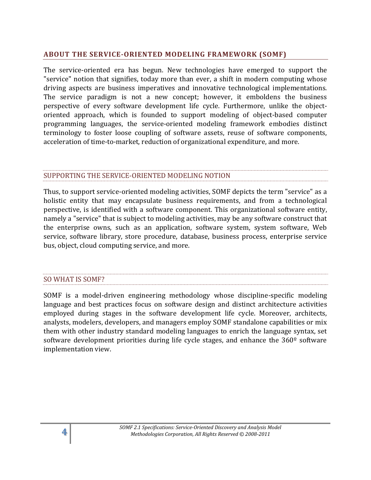### <span id="page-3-0"></span>**ABOUT THE SERVICE-ORIENTED MODELING FRAMEWORK (SOMF)**

The service-oriented era has begun. New technologies have emerged to support the "service" notion that signifies, today more than ever, a shift in modern computing whose driving aspects are business imperatives and innovative technological implementations. The service paradigm is not a new concept; however, it emboldens the business perspective of every software development life cycle. Furthermore, unlike the objectoriented approach, which is founded to support modeling of object-based computer programming languages, the service-oriented modeling framework embodies distinct terminology to foster loose coupling of software assets, reuse of software components, acceleration of time-to-market, reduction of organizational expenditure, and more.

### SUPPORTING THE SERVICE-ORIENTED MODELING NOTION

Thus, to support service-oriented modeling activities, SOMF depicts the term "service" as a holistic entity that may encapsulate business requirements, and from a technological perspective, is identified with a software component. This organizational software entity, namely a "service" that is subject to modeling activities, may be any software construct that the enterprise owns, such as an application, software system, system software, Web service, software library, store procedure, database, business process, enterprise service bus, object, cloud computing service, and more.

### SO WHAT IS SOMF?

SOMF is a model-driven engineering methodology whose discipline-specific modeling language and best practices focus on software design and distinct architecture activities employed during stages in the software development life cycle. Moreover, architects, analysts, modelers, developers, and managers employ SOMF standalone capabilities or mix them with other industry standard modeling languages to enrich the language syntax, set software development priorities during life cycle stages, and enhance the 360<sup>°</sup> software implementation view.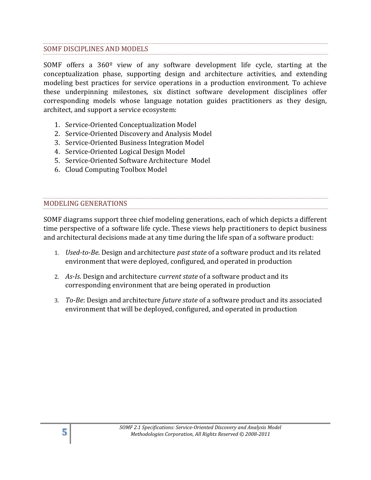### SOMF DISCIPLINES AND MODELS

SOMF offers a 360º view of any software development life cycle, starting at the conceptualization phase, supporting design and architecture activities, and extending modeling best practices for service operations in a production environment. To achieve these underpinning milestones, six distinct software development disciplines offer corresponding models whose language notation guides practitioners as they design, architect, and support a service ecosystem:

- 1. Service-Oriented Conceptualization Model
- 2. Service-Oriented Discovery and Analysis Model
- 3. Service-Oriented Business Integration Model
- 4. Service-Oriented Logical Design Model
- 5. Service-Oriented Software Architecture Model
- 6. Cloud Computing Toolbox Model

### MODELING GENERATIONS

SOMF diagrams support three chief modeling generations, each of which depicts a different time perspective of a software life cycle. These views help practitioners to depict business and architectural decisions made at any time during the life span of a software product:

- 1. *Used-to-Be*. Design and architecture *past state* of a software product and its related environment that were deployed, configured, and operated in production
- 2. *As-Is*. Design and architecture *current state* of a software product and its corresponding environment that are being operated in production
- 3. *To-Be*: Design and architecture *future state* of a software product and its associated environment that will be deployed, configured, and operated in production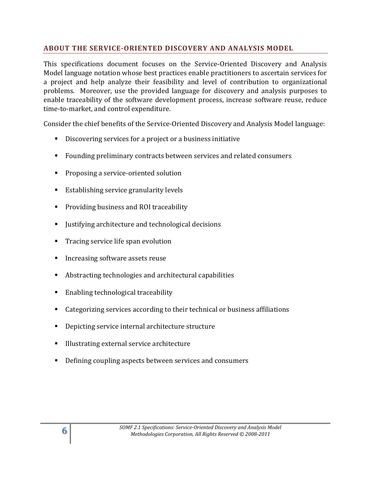# <span id="page-5-0"></span>**ABOUT THE SERVICE-ORIENTED DISCOVERY AND ANALYSIS MODEL**

This specifications document focuses on the Service-Oriented Discovery and Analysis Model language notation whose best practices enable practitioners to ascertain services for a project and help analyze their feasibility and level of contribution to organizational problems. Moreover, use the provided language for discovery and analysis purposes to enable traceability of the software development process, increase software reuse, reduce time-to-market, and control expenditure.

Consider the chief benefits of the Service-Oriented Discovery and Analysis Model language:

- Discovering services for a project or a business initiative
- Founding preliminary contracts between services and related consumers
- **Proposing a service-oriented solution**
- **Establishing service granularity levels**
- **Providing business and ROI traceability**
- I Justifying architecture and technological decisions
- **Tracing service life span evolution**
- Increasing software assets reuse
- Abstracting technologies and architectural capabilities
- **Enabling technological traceability**
- Categorizing services according to their technical or business affiliations
- **•** Depicting service internal architecture structure
- Illustrating external service architecture
- Defining coupling aspects between services and consumers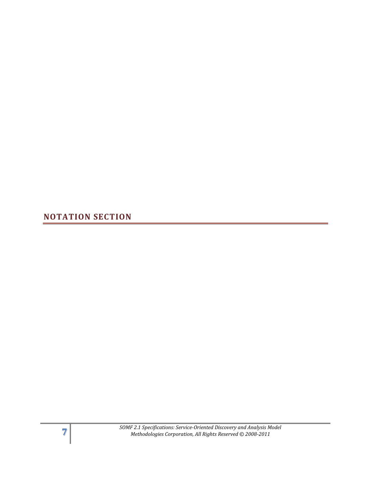<span id="page-6-0"></span>**NOTATION SECTION**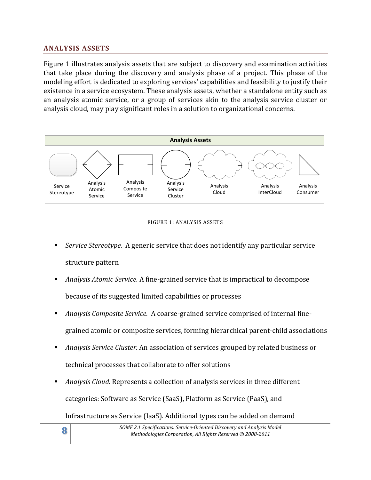### <span id="page-7-0"></span>**ANALYSIS ASSETS**

Figure 1 illustrates analysis assets that are subject to discovery and examination activities that take place during the discovery and analysis phase of a project. This phase of the modeling effort is dedicated to exploring services' capabilities and feasibility to justify their existence in a service ecosystem. These analysis assets, whether a standalone entity such as an analysis atomic service, or a group of services akin to the analysis service cluster or analysis cloud, may play significant roles in a solution to organizational concerns.



#### FIGURE 1: ANALYSIS ASSETS

- *Service Stereotype.* A generic service that does not identify any particular service structure pattern
- *Analysis Atomic Service.* A fine-grained service that is impractical to decompose because of its suggested limited capabilities or processes
- *Analysis Composite Service.* A coarse-grained service comprised of internal finegrained atomic or composite services, forming hierarchical parent-child associations
- *Analysis Service Cluster.* An association of services grouped by related business or technical processes that collaborate to offer solutions
- *Analysis Cloud.* Represents a collection of analysis services in three different categories: Software as Service (SaaS), Platform as Service (PaaS), and Infrastructure as Service (IaaS). Additional types can be added on demand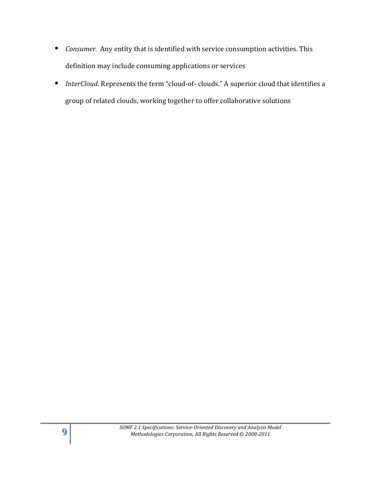- *Consumer.* Any entity that is identified with service consumption activities. This definition may include consuming applications or services
- *InterCloud.* Represents the term "cloud-of- clouds." A superior cloud that identifies a group of related clouds, working together to offer collaborative solutions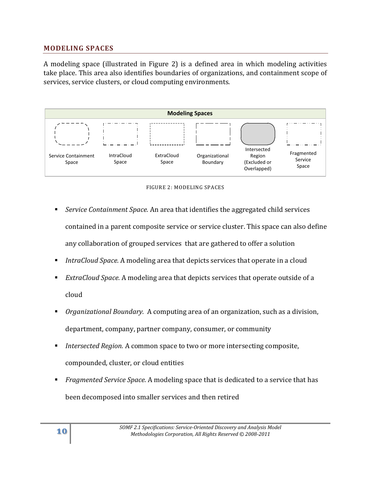### <span id="page-9-0"></span>**MODELING SPACES**

A modeling space (illustrated in Figure 2) is a defined area in which modeling activities take place. This area also identifies boundaries of organizations, and containment scope of services, service clusters, or cloud computing environments.





- *Service Containment Space.* An area that identifies the aggregated child services contained in a parent composite service or service cluster. This space can also define any collaboration of grouped services that are gathered to offer a solution
- *IntraCloud Space.* A modeling area that depicts services that operate in a cloud
- *ExtraCloud Space.* A modeling area that depicts services that operate outside of a cloud
- *Organizational Boundary.* A computing area of an organization, such as a division, department, company, partner company, consumer, or community
- *Intersected Region.* A common space to two or more intersecting composite, compounded, cluster, or cloud entities
- *Fragmented Service Space.* A modeling space that is dedicated to a service that has been decomposed into smaller services and then retired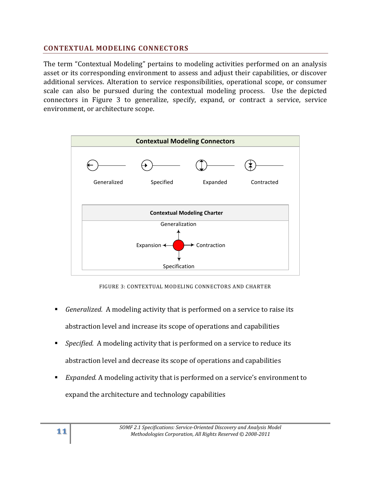### <span id="page-10-0"></span>**CONTEXTUAL MODELING CONNECTORS**

The term "Contextual Modeling" pertains to modeling activities performed on an analysis asset or its corresponding environment to assess and adjust their capabilities, or discover additional services. Alteration to service responsibilities, operational scope, or consumer scale can also be pursued during the contextual modeling process. Use the depicted connectors in Figure 3 to generalize, specify, expand, or contract a service, service environment, or architecture scope.



FIGURE 3: CONTEXTUAL MODELING CONNECTORS AND CHARTER

- *Generalized.* A modeling activity that is performed on a service to raise its abstraction level and increase its scope of operations and capabilities
- *Specified.* A modeling activity that is performed on a service to reduce its abstraction level and decrease its scope of operations and capabilities
- *Expanded.* A modeling activity that is performed on a service's environment to expand the architecture and technology capabilities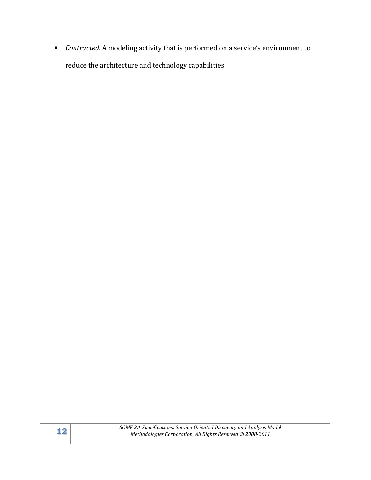*Contracted.* A modeling activity that is performed on a service's environment to reduce the architecture and technology capabilities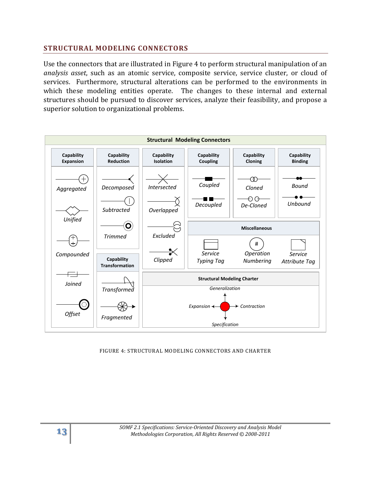### <span id="page-12-0"></span>**STRUCTURAL MODELING CONNECTORS**

Use the connectors that are illustrated in Figure 4 to perform structural manipulation of an *analysis asset*, such as an atomic service, composite service, service cluster, or cloud of services. Furthermore, structural alterations can be performed to the environments in which these modeling entities operate. The changes to these internal and external structures should be pursued to discover services, analyze their feasibility, and propose a superior solution to organizational problems.



#### FIGURE 4: STRUCTURAL MODELING CONNECTORS AND CHARTER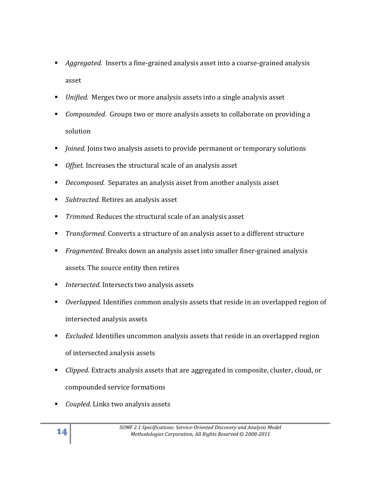- *Aggregated.* Inserts a fine-grained analysis asset into a coarse-grained analysis asset
- *Unified.* Merges two or more analysis assets into a single analysis asset
- *Compounded.* Groups two or more analysis assets to collaborate on providing a solution
- *Joined.* Joins two analysis assets to provide permanent or temporary solutions
- *Offset.* Increases the structural scale of an analysis asset
- *Decomposed.* Separates an analysis asset from another analysis asset
- *Subtracted.* Retires an analysis asset
- *Trimmed.* Reduces the structural scale of an analysis asset
- *Transformed.* Converts a structure of an analysis asset to a different structure
- *Fragmented.* Breaks down an analysis asset into smaller finer-grained analysis assets. The source entity then retires
- *Intersected.* Intersects two analysis assets
- *Overlapped.* Identifies common analysis assets that reside in an overlapped region of intersected analysis assets
- *Excluded.* Identifies uncommon analysis assets that reside in an overlapped region of intersected analysis assets
- *Clipped.* Extracts analysis assets that are aggregated in composite, cluster, cloud, or compounded service formations
- *Coupled.* Links two analysis assets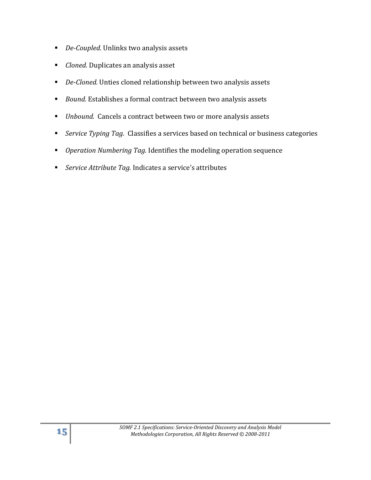- *De-Coupled.* Unlinks two analysis assets
- *Cloned.* Duplicates an analysis asset
- *De-Cloned.* Unties cloned relationship between two analysis assets
- *Bound.* Establishes a formal contract between two analysis assets
- *Unbound.* Cancels a contract between two or more analysis assets
- *Service Typing Tag.* Classifies a services based on technical or business categories
- *Operation Numbering Tag.* Identifies the modeling operation sequence
- *Service Attribute Tag.* Indicates a service's attributes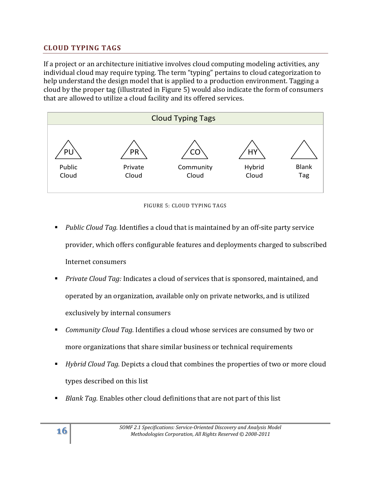# <span id="page-15-0"></span>**CLOUD TYPING TAGS**

If a project or an architecture initiative involves cloud computing modeling activities, any individual cloud may require typing. The term "typing" pertains to cloud categorization to help understand the design model that is applied to a production environment. Tagging a cloud by the proper tag (illustrated in Figure 5) would also indicate the form of consumers that are allowed to utilize a cloud facility and its offered services.





- *Public Cloud Tag.* Identifies a cloud that is maintained by an off-site party service provider, which offers configurable features and deployments charged to subscribed Internet consumers
- *Private Cloud Tag:* Indicates a cloud of services that is sponsored, maintained, and operated by an organization, available only on private networks, and is utilized exclusively by internal consumers
- *Community Cloud Tag.* Identifies a cloud whose services are consumed by two or more organizations that share similar business or technical requirements
- *Hybrid Cloud Tag.* Depicts a cloud that combines the properties of two or more cloud types described on this list
- *Blank Tag.* Enables other cloud definitions that are not part of this list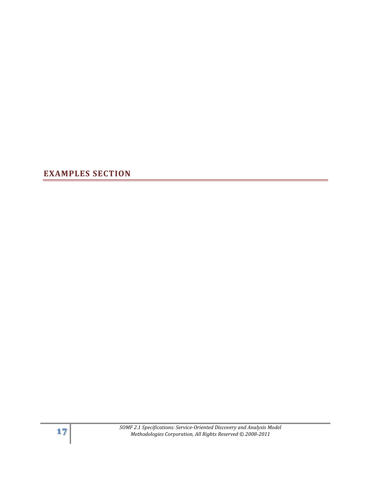<span id="page-16-0"></span>**EXAMPLES SECTION**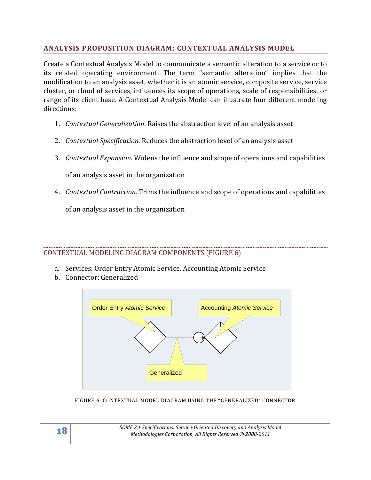## <span id="page-17-0"></span>**ANALYSIS PROPOSITION DIAGRAM: CONTEXTUAL ANALYSIS MODEL**

Create a Contextual Analysis Model to communicate a semantic alteration to a service or to its related operating environment. The term "semantic alteration" implies that the modification to an analysis asset, whether it is an atomic service, composite service, service cluster, or cloud of services, influences its scope of operations, scale of responsibilities, or range of its client base. A Contextual Analysis Model can illustrate four different modeling directions:

- 1. *Contextual Generalization*. Raises the abstraction level of an analysis asset
- 2. *Contextual Specification*. Reduces the abstraction level of an analysis asset
- 3. *Contextual Expansion*. Widens the influence and scope of operations and capabilities

of an analysis asset in the organization

4. *Contextual Contraction*. Trims the influence and scope of operations and capabilities

of an analysis asset in the organization

### CONTEXTUAL MODELING DIAGRAM COMPONENTS (FIGURE 6)

- a. Services: Order Entry Atomic Service, Accounting Atomic Service
- b. Connector: Generalized



FIGURE 6: CONTEXTUAL MODEL DIAGRAM USING THE "GENERALIZED" CONNECTOR

**18** *SOMF 2.1 Specifications: Service-Oriented Discovery and Analysis Model Methodologies Corporation, All Rights Reserved © 2008-2011*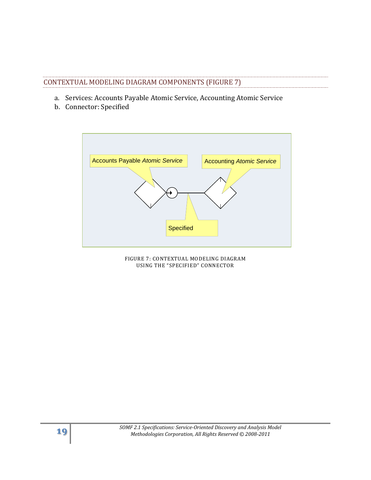# CONTEXTUAL MODELING DIAGRAM COMPONENTS (FIGURE 7)

- a. Services: Accounts Payable Atomic Service, Accounting Atomic Service
- b. Connector: Specified



FIGURE 7: CONTEXTUAL MODELING DIAGRAM USING THE "SPECIFIED" CONNECTOR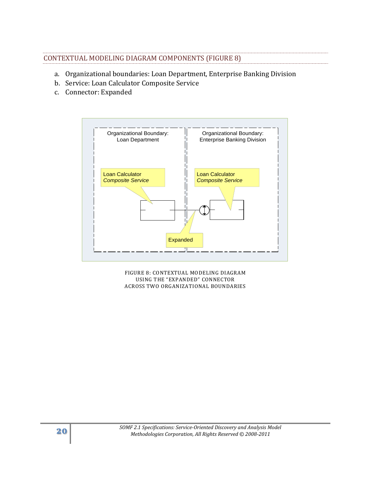### CONTEXTUAL MODELING DIAGRAM COMPONENTS (FIGURE 8)

- a. Organizational boundaries: Loan Department, Enterprise Banking Division
- b. Service: Loan Calculator Composite Service
- c. Connector: Expanded



FIGURE 8: CONTEXTUAL MODELING DIAGRAM USING THE "EXPANDED" CONNECTOR ACROSS TWO ORGANIZATIONAL BOUNDARIES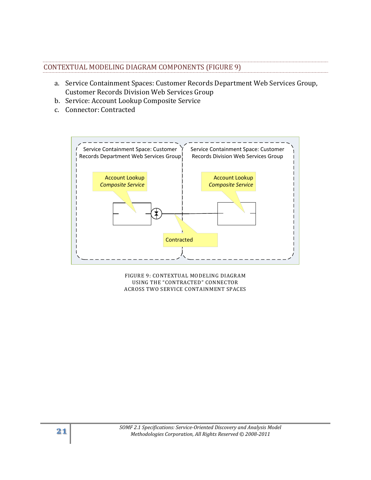| CONTEXTUAL MODELING DIAGRAM COMPONENTS (FIGURE 9) |  |
|---------------------------------------------------|--|

- a. Service Containment Spaces: Customer Records Department Web Services Group, Customer Records Division Web Services Group
- b. Service: Account Lookup Composite Service
- c. Connector: Contracted



FIGURE 9: CONTEXTUAL MODELING DIAGRAM USING THE "CONTRACTED" CONNECTOR ACROSS TWO SERVICE CONTAINMENT SPACES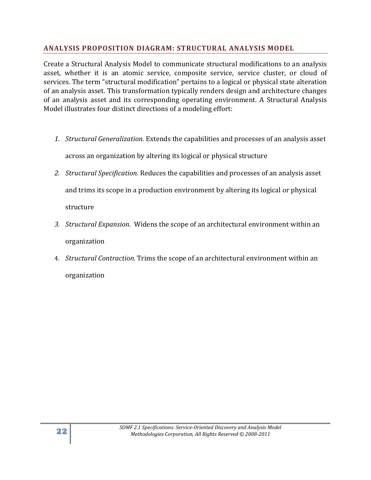## <span id="page-21-0"></span>**ANALYSIS PROPOSITION DIAGRAM: STRUCTURAL ANALYSIS MODEL**

Create a Structural Analysis Model to communicate structural modifications to an analysis asset, whether it is an atomic service, composite service, service cluster, or cloud of services. The term "structural modification" pertains to a logical or physical state alteration of an analysis asset. This transformation typically renders design and architecture changes of an analysis asset and its corresponding operating environment. A Structural Analysis Model illustrates four distinct directions of a modeling effort:

- *1. Structural Generalization.* Extends the capabilities and processes of an analysis asset across an organization by altering its logical or physical structure
- *2. Structural Specification.* Reduces the capabilities and processes of an analysis asset and trims its scope in a production environment by altering its logical or physical structure
- *3. Structural Expansion.* Widens the scope of an architectural environment within an organization
- 4. *Structural Contraction*. Trims the scope of an architectural environment within an organization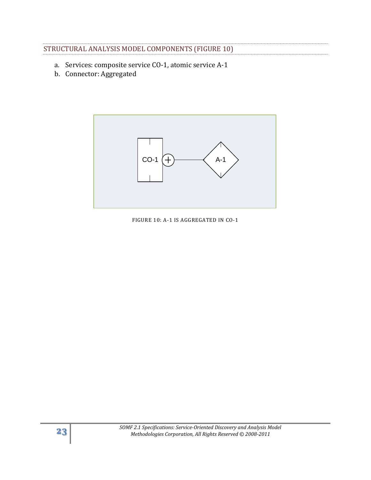| STRUCTURAL ANALYSIS MODEL COMPONENTS (FIGURE 10) |  |  |
|--------------------------------------------------|--|--|

- a. Services: composite service CO-1, atomic service A-1
- b. Connector: Aggregated



FIGURE 10: A-1 IS AGGREGATED IN CO-1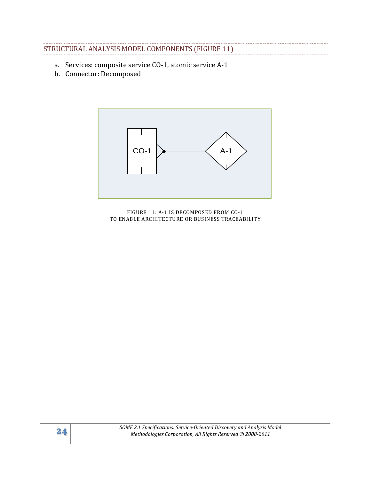# STRUCTURAL ANALYSIS MODEL COMPONENTS (FIGURE 11)

- a. Services: composite service CO-1, atomic service A-1
- b. Connector: Decomposed



FIGURE 11: A-1 IS DECOMPOSED FROM CO-1 TO ENABLE ARCHITECTURE OR BUSINESS TRACEABILITY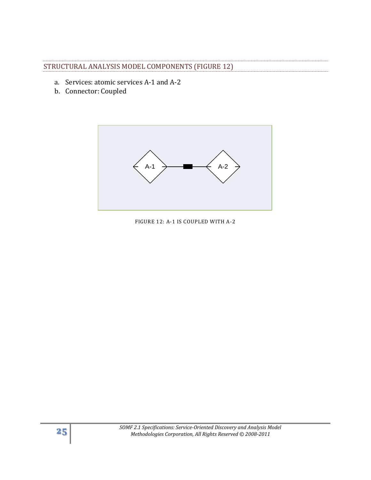### STRUCTURAL ANALYSIS MODEL COMPONENTS (FIGURE 12)

- a. Services: atomic services A-1 and A-2
- b. Connector: Coupled



FIGURE 12: A-1 IS COUPLED WITH A-2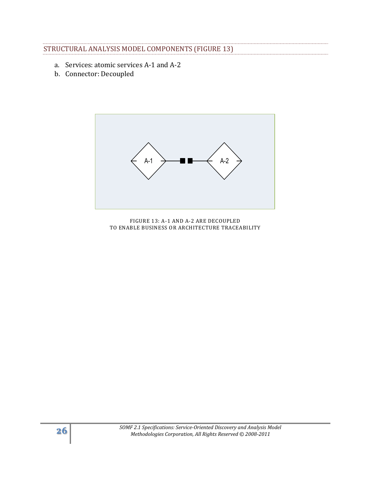# STRUCTURAL ANALYSIS MODEL COMPONENTS (FIGURE 13)

- a. Services: atomic services A-1 and A-2
- b. Connector: Decoupled



FIGURE 13: A-1 AND A-2 ARE DECOUPLED TO ENABLE BUSINESS OR ARCHITECTURE TRACEABILITY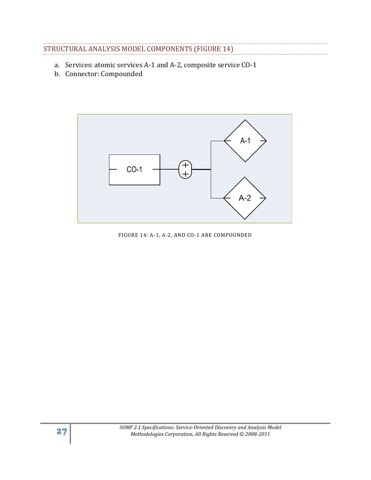# STRUCTURAL ANALYSIS MODEL COMPONENTS (FIGURE 14)

- a. Services: atomic services A-1 and A-2, composite service CO-1
- b. Connector: Compounded



FIGURE 14: A-1, A-2, AND CO-1 ARE COMPOUNDED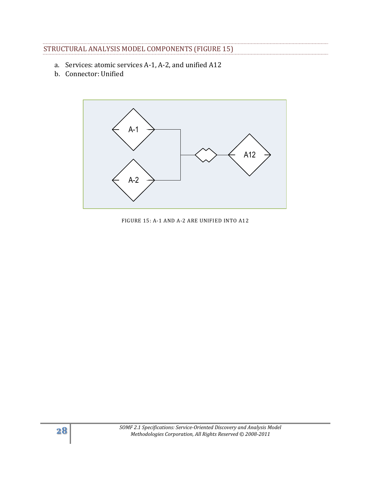# STRUCTURAL ANALYSIS MODEL COMPONENTS (FIGURE 15)

- a. Services: atomic services A-1, A-2, and unified A12
- b. Connector: Unified



FIGURE 15: A-1 AND A-2 ARE UNIFIED INTO A12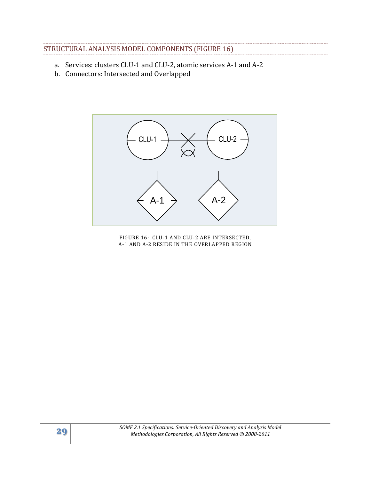# STRUCTURAL ANALYSIS MODEL COMPONENTS (FIGURE 16)

- a. Services: clusters CLU-1 and CLU-2, atomic services A-1 and A-2
- b. Connectors: Intersected and Overlapped



FIGURE 16: CLU-1 AND CLU-2 ARE INTERSECTED, A-1 AND A-2 RESIDE IN THE OVERLAPPED REGION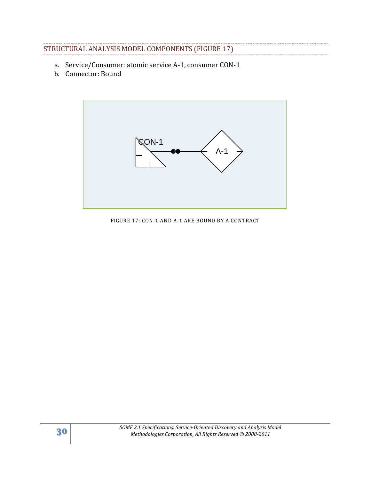# STRUCTURAL ANALYSIS MODEL COMPONENTS (FIGURE 17)

- a. Service/Consumer: atomic service A-1, consumer CON-1
- b. Connector: Bound



FIGURE 17: CON-1 AND A-1 ARE BOUND BY A CONTRACT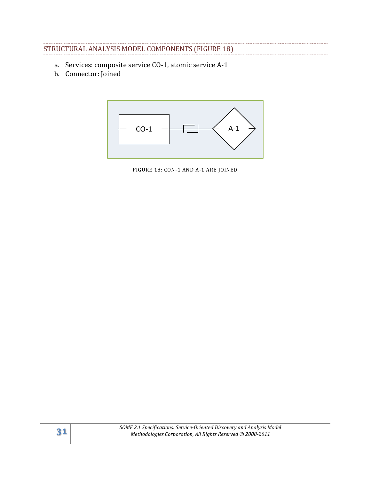# STRUCTURAL ANALYSIS MODEL COMPONENTS (FIGURE 18)

- a. Services: composite service CO-1, atomic service A-1
- b. Connector: Joined



FIGURE 18: CON-1 AND A-1 ARE JOINED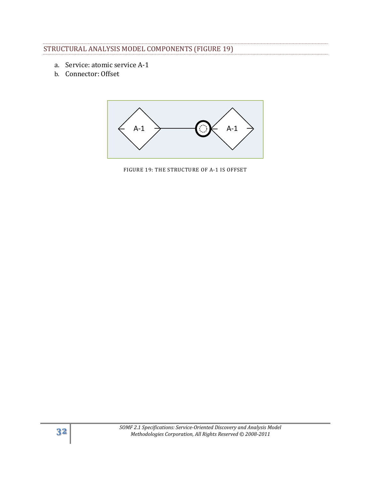# STRUCTURAL ANALYSIS MODEL COMPONENTS (FIGURE 19)

- a. Service: atomic service A-1
- b. Connector: Offset



FIGURE 19: THE STRUCTURE OF A-1 IS OFFSET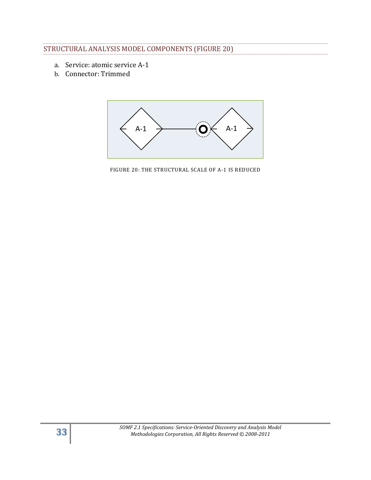## STRUCTURAL ANALYSIS MODEL COMPONENTS (FIGURE 20)

- a. Service: atomic service A-1
- b. Connector: Trimmed



FIGURE 20: THE STRUCTURAL SCALE OF A-1 IS REDUCED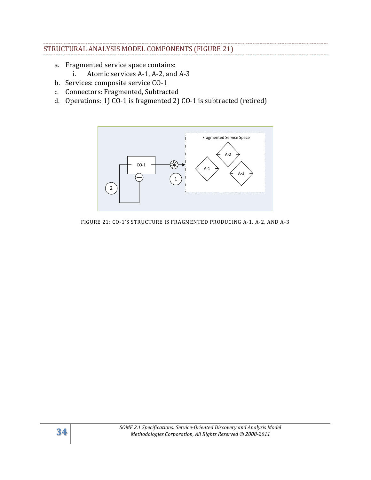### STRUCTURAL ANALYSIS MODEL COMPONENTS (FIGURE 21)

- a. Fragmented service space contains:
	- i. Atomic services A-1, A-2, and A-3
- b. Services: composite service CO-1
- c. Connectors: Fragmented, Subtracted
- d. Operations: 1) CO-1 is fragmented 2) CO-1 is subtracted (retired)



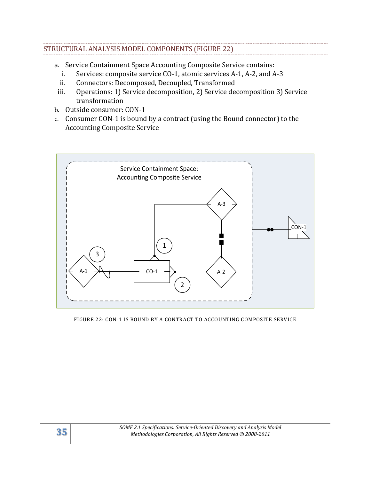# STRUCTURAL ANALYSIS MODEL COMPONENTS (FIGURE 22)

- a. Service Containment Space Accounting Composite Service contains:
	- i. Services: composite service CO-1, atomic services A-1, A-2, and A-3
	- ii. Connectors: Decomposed, Decoupled, Transformed
- iii. Operations: 1) Service decomposition, 2) Service decomposition 3) Service transformation
- b. Outside consumer: CON-1
- c. Consumer CON-1 is bound by a contract (using the Bound connector) to the Accounting Composite Service



FIGURE 22: CON-1 IS BOUND BY A CONTRACT TO ACCOUNTING COMPOSITE SERVICE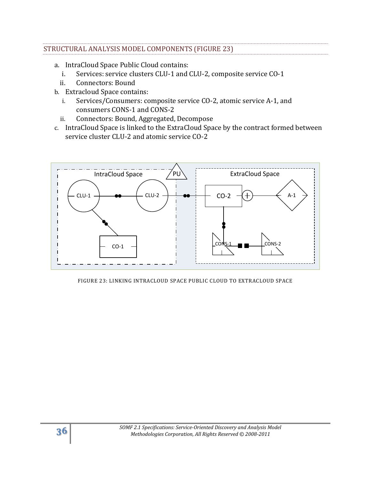## STRUCTURAL ANALYSIS MODEL COMPONENTS (FIGURE 23)

- a. IntraCloud Space Public Cloud contains:
	- i. Services: service clusters CLU-1 and CLU-2, composite service CO-1
	- ii. Connectors: Bound
- b. Extracloud Space contains:
	- i. Services/Consumers: composite service CO-2, atomic service A-1, and consumers CONS-1 and CONS-2
	- ii. Connectors: Bound, Aggregated, Decompose
- c. IntraCloud Space is linked to the ExtraCloud Space by the contract formed between service cluster CLU-2 and atomic service CO-2



#### FIGURE 23: LINKING INTRACLOUD SPACE PUBLIC CLOUD TO EXTRACLOUD SPACE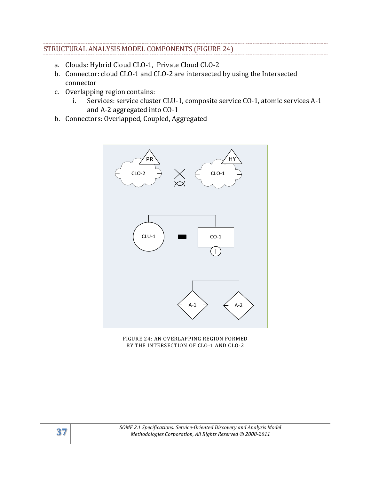# STRUCTURAL ANALYSIS MODEL COMPONENTS (FIGURE 24)

- a. Clouds: Hybrid Cloud CLO-1, Private Cloud CLO-2
- b. Connector: cloud CLO-1 and CLO-2 are intersected by using the Intersected connector
- c. Overlapping region contains:
	- i. Services: service cluster CLU-1, composite service CO-1, atomic services A-1 and A-2 aggregated into CO-1
- b. Connectors: Overlapped, Coupled, Aggregated



FIGURE 24: AN OVERLAPPING REGION FORMED BY THE INTERSECTION OF CLO-1 AND CLO-2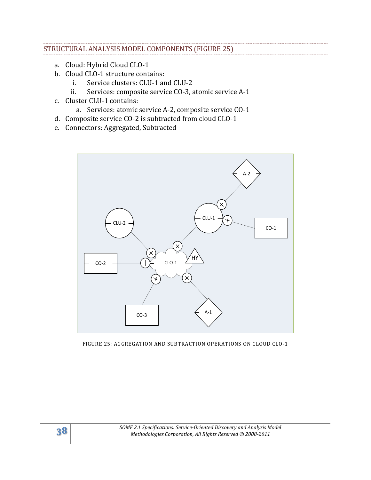## STRUCTURAL ANALYSIS MODEL COMPONENTS (FIGURE 25)

- a. Cloud: Hybrid Cloud CLO-1
- b. Cloud CLO-1 structure contains:
	- i. Service clusters: CLU-1 and CLU-2
	- ii. Services: composite service CO-3, atomic service A-1
- c. Cluster CLU-1 contains:
	- a. Services: atomic service A-2, composite service CO-1
- d. Composite service CO-2 is subtracted from cloud CLO-1
- e. Connectors: Aggregated, Subtracted